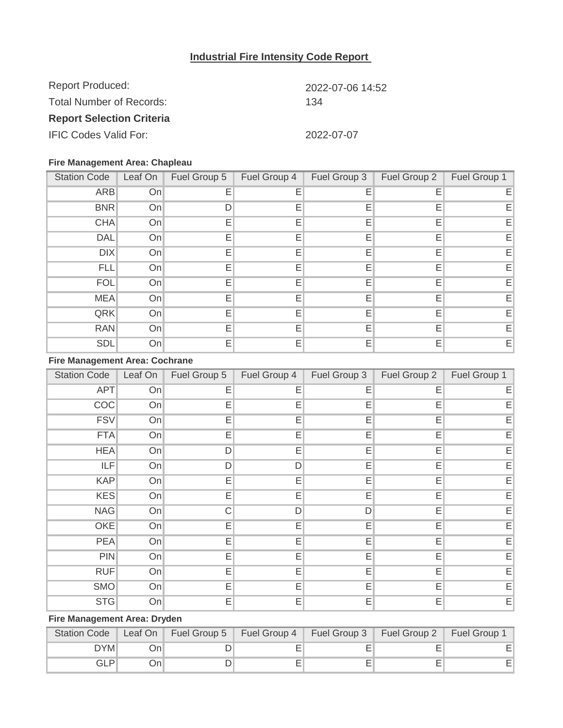## **Industrial Fire Intensity Code Report**

| <b>Report Produced:</b>          | 2022-07-06 14:52 |  |  |
|----------------------------------|------------------|--|--|
| Total Number of Records:         | 134              |  |  |
| <b>Report Selection Criteria</b> |                  |  |  |
| <b>IFIC Codes Valid For:</b>     | 2022-07-07       |  |  |

#### **Fire Management Area: Chapleau**

| <b>Station Code</b> | Leaf On | Fuel Group 5 | Fuel Group 4 | Fuel Group 3 | Fuel Group 2 | Fuel Group 1 |
|---------------------|---------|--------------|--------------|--------------|--------------|--------------|
| <b>ARB</b>          | On      | Е            | Е            | E            | Е            | EI           |
| <b>BNR</b>          | On      |              | Е            | Е            | Е            | EI           |
| <b>CHA</b>          | On      | Е            | Е            | Е            | Е            | EI           |
| <b>DAL</b>          | On      | Е            | Е            | E            | Е            | EI           |
| <b>DIX</b>          | On      | Е            | Е            | Е            | Е            | E            |
| <b>FLL</b>          | On      | E            | Е            | Е            | Е            | E            |
| <b>FOL</b>          | On      | E            | E            | Ε            | Е            | E            |
| <b>MEA</b>          | On      | Е            | E            | E            | Е            | EI           |
| QRK                 | On      | E            | Е            | E            | Е            | EI           |
| <b>RAN</b>          | On      | Е            | Ε            | Е            | Ε            | EI           |
| <b>SDL</b>          | On      | Е            | Е            | Е            | E            | E            |

### **Fire Management Area: Cochrane**

| <b>Station Code</b> | Leaf On $\parallel$ | Fuel Group 5 | Fuel Group 4 |   | Fuel Group 3   Fuel Group 2 | Fuel Group 1 |
|---------------------|---------------------|--------------|--------------|---|-----------------------------|--------------|
| <b>APT</b>          | On                  | Е            | Ε            | Е | Ε                           | Е            |
| COC                 | On                  | Е            | Ε            | Е | Е                           | Ε            |
| <b>FSV</b>          | On                  | Ε            | Ε            | Ε | Е                           | Ε            |
| <b>FTA</b>          | On                  | E            | Ε            | Е | Е                           | Ε            |
| <b>HEA</b>          | On                  | D            | Ε            | Ε | Е                           | Ε            |
| ILF                 | On                  | D            | D            | Ε | E                           | E            |
| <b>KAP</b>          | On                  | E            | Ε            | Е | Е                           | Ε            |
| <b>KES</b>          | On                  | Ε            | Ε            | Е | Е                           | E            |
| <b>NAG</b>          | On                  | C            | D            | D | E                           | Ε            |
| <b>OKE</b>          | On                  | Ε            | Ε            | Е | E                           | Ε            |
| <b>PEA</b>          | On                  | E            | Ε            | Ε | E                           | Ε            |
| <b>PIN</b>          | On                  | E            | Е            | Е | Ε                           | Ε            |
| <b>RUF</b>          | On                  | Е            | Ε            | Е | Ε                           | Е            |
| <b>SMO</b>          | On                  | E            | Ε            | E | E                           | Ε            |
| <b>STG</b>          | On                  | E            | Ε            | Е | Е                           | Ε            |

# **Fire Management Area: Dryden**

|            |     |  | Station Code   Leaf On   Fuel Group 5   Fuel Group 4   Fuel Group 3   Fuel Group 2   Fuel Group 1 |  |
|------------|-----|--|---------------------------------------------------------------------------------------------------|--|
| <b>DYM</b> | ⊃n′ |  |                                                                                                   |  |
| GLP        | On  |  |                                                                                                   |  |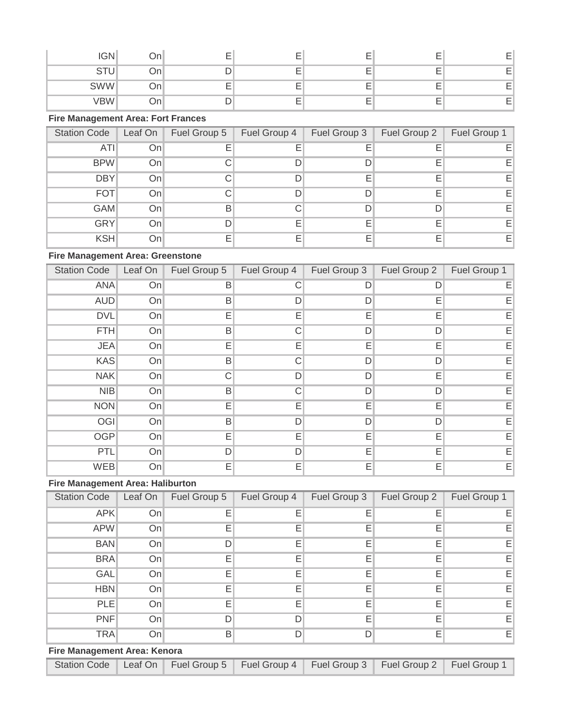| <b>IGN</b> | )n | $\overline{\phantom{a}}$<br>-      |                          | -                        |  |
|------------|----|------------------------------------|--------------------------|--------------------------|--|
| ◡<br>ັ     | Οn |                                    | -                        | $\overline{\phantom{0}}$ |  |
| <b>SWW</b> | ◡᠁ | $\overline{\phantom{a}}$<br>-<br>- | $\overline{\phantom{0}}$ | -                        |  |
| VBW        |    |                                    | -                        | $\overline{\phantom{0}}$ |  |

## **Fire Management Area: Fort Frances**

| <b>Station Code</b> | Leaf On | Fuel Group 5 | Fuel Group 4 | Fuel Group 3 | Fuel Group 2 | Fuel Group 1 |
|---------------------|---------|--------------|--------------|--------------|--------------|--------------|
| ATI                 | Onl     |              | Е            |              |              | ΕI           |
| <b>BPW</b>          | On      |              |              |              |              | EI           |
| <b>DBY</b>          | On      |              |              | F            |              | E.           |
| <b>FOT</b>          | Onl     |              |              | D            |              | EI           |
| <b>GAM</b>          | Onl     | B            | C.           |              |              | EI           |
| <b>GRY</b>          | On      |              | Е            | F            | F            | EI           |
| <b>KSH</b>          | Onl     |              | Е            |              |              | EI           |

#### **Fire Management Area: Greenstone**

| <b>Station Code</b> | Leaf On | Fuel Group 5 | Fuel Group 4 | Fuel Group 3 | Fuel Group 2 | Fuel Group 1 |
|---------------------|---------|--------------|--------------|--------------|--------------|--------------|
| <b>ANA</b>          | On      | Β            | С            | D            | D            | Е            |
| <b>AUD</b>          | On      | Β            | D            | D            | Е            | Е            |
| <b>DVL</b>          | On      | Е            | E            | E            | Е            | Ε            |
| <b>FTH</b>          | On      | B            | C            | D            | D            | Е            |
| <b>JEA</b>          | On      | Е            | E            | Е            | E            | E            |
| <b>KAS</b>          | On      | B            | C            | D            | D            | E            |
| <b>NAK</b>          | On      | С            | D            | D            | Е            | Е            |
| <b>NIB</b>          | On      | B            | C            | D            | D            | E            |
| <b>NON</b>          | On      | E            | E            | Ε            | E            | E            |
| OGI                 | On      | B            | D            | D            | D            | Е            |
| <b>OGP</b>          | On      | E            | E            | E            | E            | E            |
| PTL                 | On      | D            | D            | Е            | E            | Ε            |
| <b>WEB</b>          | On      | Е            | Е            | Е            | Е            | E            |

#### **Fire Management Area: Haliburton**

| <b>Station Code</b> | Leaf On | Fuel Group 5 | Fuel Group 4 | Fuel Group 3 | Fuel Group 2 | Fuel Group 1 |
|---------------------|---------|--------------|--------------|--------------|--------------|--------------|
| <b>APK</b>          | On      |              | Е            | F            | F            | E.           |
| <b>APW</b>          | On      | F            | E            | Е            | Е            | Е            |
| <b>BAN</b>          | On      |              | Ε            | Е            | Е            | EI           |
| <b>BRA</b>          | On      |              | Е            | F            | E            | E.           |
| <b>GAL</b>          | On      | Е            | E            | E            | Е            | EI           |
| <b>HBN</b>          | On      |              | E            | Е            | Е            | Е            |
| <b>PLE</b>          | On      | E            | Е            | Е            | Е            | EI           |
| <b>PNF</b>          | On      | D            | D            | E            | Е            | E.           |
| <b>TRA</b>          | On      | B            | D            |              | Е            | EI           |

#### **Fire Management Area: Kenora**

| Station Code   Leaf On   Fuel Group 5   Fuel Group 4   Fuel Group 3   Fuel Group 2   Fuel Group 1 |  |  |  |
|---------------------------------------------------------------------------------------------------|--|--|--|
|                                                                                                   |  |  |  |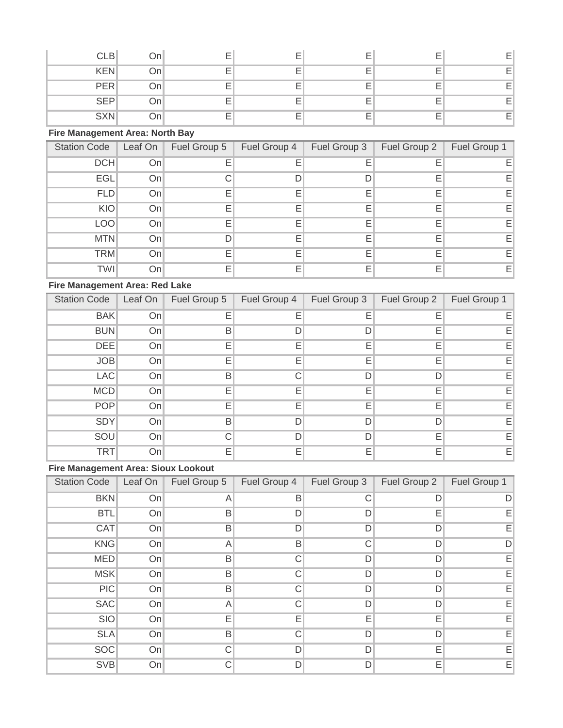| <b>CLB</b> | On  |   |   |                          |    |
|------------|-----|---|---|--------------------------|----|
| <b>KEN</b> | Onl |   |   |                          | E  |
| <b>PER</b> | On  |   |   |                          | F  |
| <b>SEP</b> | On  |   |   |                          | E. |
| <b>SXN</b> | วn. | – | – | $\overline{\phantom{a}}$ | E  |

### **Fire Management Area: North Bay**

| <b>Station Code</b> | Leaf On | Fuel Group 5 | Fuel Group 4 | Fuel Group 3 | Fuel Group 2 | Fuel Group 1 |
|---------------------|---------|--------------|--------------|--------------|--------------|--------------|
| DCH                 | On      |              | Е            |              |              | Е            |
| <b>EGL</b>          | On      |              | D            |              | F            | Е            |
| <b>FLD</b>          | On      |              | Ε            | F            | F            | EI           |
| KIO                 | On      |              | Е            | F            | F            | EI           |
| <b>LOO</b>          | On      |              | Е            | Е            | Е            | EI           |
| <b>MTN</b>          | Onl     |              | E            |              |              | E.           |
| <b>TRM</b>          | On      |              | Е            | F            | F            | E.           |
| <b>TWI</b>          | Onl     |              | Е            | F            | F            | EI           |

### **Fire Management Area: Red Lake**

| <b>Station Code</b> | Leaf On | Fuel Group 5 | Fuel Group 4 | Fuel Group 3 | Fuel Group 2 | Fuel Group 1 |
|---------------------|---------|--------------|--------------|--------------|--------------|--------------|
| <b>BAK</b>          | On      |              | Ε            | Е            | Е            | E.           |
| <b>BUN</b>          | On      | B            | D            |              | E            | E.           |
| <b>DEE</b>          | On      |              | E            | Е            | Е            | Е            |
| <b>JOB</b>          | On      |              | Е            | F            | E            | E.           |
| <b>LAC</b>          | On      | B            | C            | ח            | D            | EI           |
| <b>MCD</b>          | On      |              | Е            | Е            | Е            | EI           |
| <b>POP</b>          | On      |              | Е            | E            | Е            | EI           |
| <b>SDY</b>          | On      | B            | D            | D            | D            | Е            |
| SOU                 | On      |              | D            |              | Е            | EI           |
| <b>TRT</b>          | On      |              | Е            | Е            | E            | EI           |

# **Fire Management Area: Sioux Lookout**

| <b>Station Code</b> | Leaf On | Fuel Group 5 | Fuel Group 4 | Fuel Group 3 | Fuel Group 2 | Fuel Group 1 |
|---------------------|---------|--------------|--------------|--------------|--------------|--------------|
| <b>BKN</b>          | On      | A            | B            |              | D            |              |
| <b>BTL</b>          | On      | Β            | D            | D            | Е            | Е            |
| CAT                 | On      | Β            | D            | D            | D            | EI           |
| <b>KNG</b>          | On      | A            | B            | С            | D            | D            |
| <b>MED</b>          | On      | Β            | C            | D            | D            | Е            |
| <b>MSK</b>          | On      | B            | C            | D            | D            | Е            |
| PIC                 | On      | B            | C.           | D            | D            | Е            |
| <b>SAC</b>          | On      | A            | C            | D            | D            | Ε            |
| SIO                 | On      | Е            | E            | Е            | Е            | $E_1$        |
| <b>SLA</b>          | On      | B            | C            | D            | D            | EI           |
| <b>SOC</b>          | On      |              | D            | D            | Е            | Ε            |
| <b>SVB</b>          | On      |              | D            | D            | Е            | E            |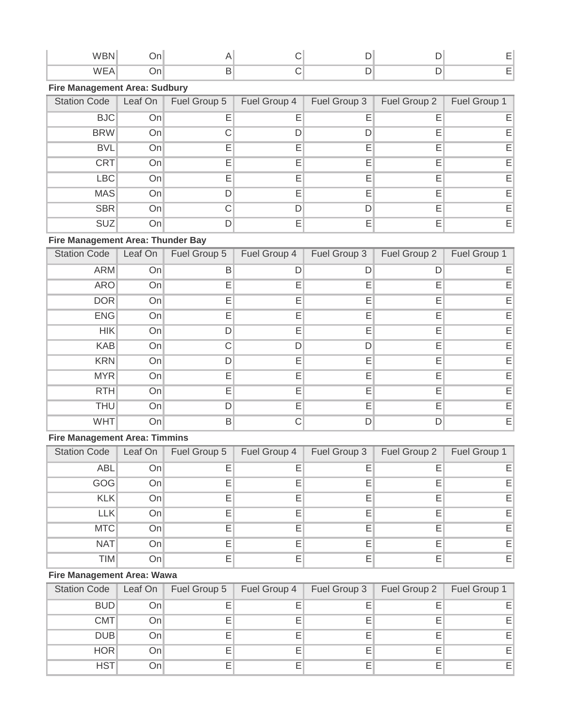### **Fire Management Area: Sudbury**

| <b>Station Code</b> | Leaf On | Fuel Group 5 | Fuel Group 4 | Fuel Group 3 | Fuel Group 2 | Fuel Group 1 |
|---------------------|---------|--------------|--------------|--------------|--------------|--------------|
| <b>BJC</b>          | Onl     |              | E            |              |              | Е            |
| <b>BRW</b>          | Onl     |              |              |              |              | E.           |
| <b>BVL</b>          | Onl     |              | F            |              | F            | Εı           |
| CRT                 | On      |              | F            |              |              | E.           |
| LBC                 | On      |              | F            | F            | F            | EI           |
| <b>MAS</b>          | Onl     |              | Ε            | F            | Е            | EI           |
| SBR                 | Onl     |              | D            |              | F            | EI           |
| <b>SUZ</b>          | Onl     |              | F            |              |              | EI           |

## **Fire Management Area: Thunder Bay**

| <b>Station Code</b> | Leaf On | Fuel Group 5 | Fuel Group 4 | Fuel Group 3 | Fuel Group 2 | Fuel Group 1 |
|---------------------|---------|--------------|--------------|--------------|--------------|--------------|
| <b>ARM</b>          | On      | Β            | D            |              | D            | F.           |
| <b>ARO</b>          | On      | F            | Ε            | E            | Е            | Е            |
| <b>DOR</b>          | On      | Е            | Ε            | Е            | Е            | Е            |
| <b>ENG</b>          | On      | Е            | Ε            | Е            | Е            | Е            |
| <b>HIK</b>          | On      | D            | Ε            | Е            | Е            | Е            |
| <b>KAB</b>          | On      |              | D            | D            | Е            | EI           |
| <b>KRN</b>          | On      | D            | Ε            | Е            | Е            | EI           |
| <b>MYR</b>          | On      | F            | Е            | Е            | E            | Е            |
| <b>RTH</b>          | On      | E            | E            | Е            | E            | EI           |
| <b>THU</b>          | On      | D            | Е            | Е            | Е            | EI           |
| <b>WHT</b>          | On      | B            | C            | D            | D            | Е            |

### **Fire Management Area: Timmins**

| <b>Station Code</b> | Leaf On | Fuel Group 5 | Fuel Group 4 | Fuel Group 3 | Fuel Group 2 | Fuel Group 1 |
|---------------------|---------|--------------|--------------|--------------|--------------|--------------|
| <b>ABL</b>          | Onl     |              |              |              |              | ΕI           |
| GOG                 | Onl     |              | Е            |              |              | ΕI           |
| <b>KLK</b>          | On      |              | F            | F            |              | EI           |
| <b>LLK</b>          | Onl     |              | Е            |              |              | EI           |
| MTC                 | Onl     |              | F            |              |              | E.           |
| NAT                 | Onl     |              |              |              |              | E.           |
| <b>TIM</b>          | Onl     |              | F            |              |              | EI           |

### **Fire Management Area: Wawa**

| <b>Station Code</b> | Leaf On | Fuel Group 5 | Fuel Group 4 | Fuel Group 3 | Fuel Group 2 | Fuel Group 1 |
|---------------------|---------|--------------|--------------|--------------|--------------|--------------|
| <b>BUD</b>          | Onl     |              | Е            |              |              | E.           |
| CMT                 | Onl     |              | Е            |              |              | E.           |
| <b>DUB</b>          | Onl     |              | Ε            |              |              | E.           |
| <b>HOR</b>          | Onl     |              | Е            |              |              | E.           |
| <b>HST</b>          | Onl     |              | Е            |              |              | E.           |